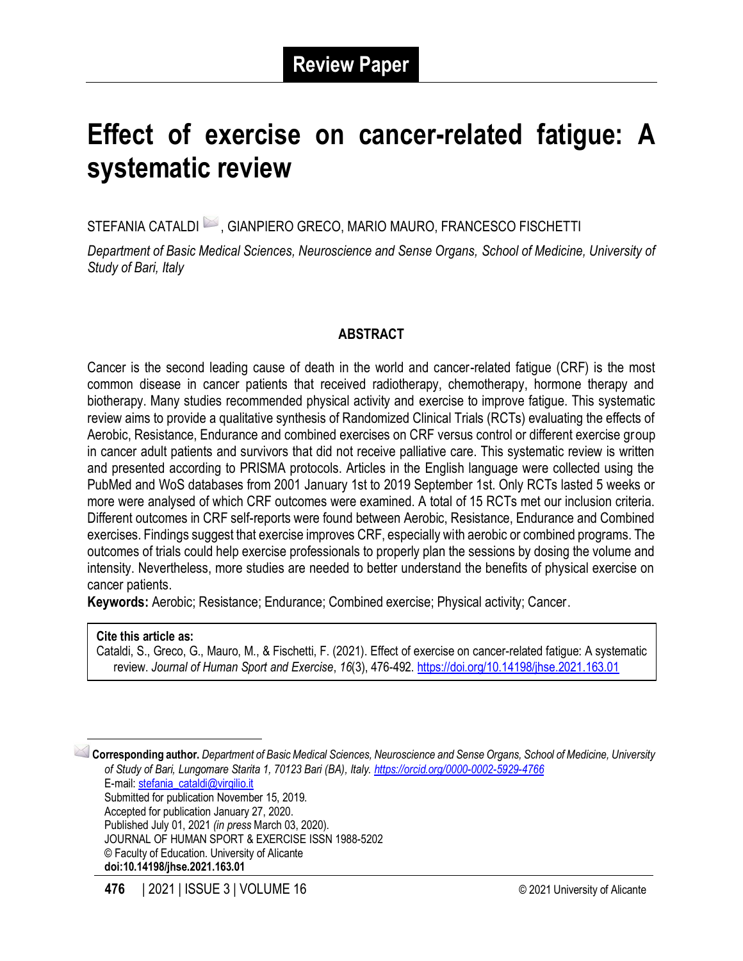# **Effect of exercise on cancer-related fatigue: A systematic review**

STEFANIA CATALDI  $\blacktriangleright$ , GIANPIERO GRECO, MARIO MAURO, FRANCESCO FISCHETTI

*Department of Basic Medical Sciences, Neuroscience and Sense Organs, School of Medicine, University of Study of Bari, Italy*

# **ABSTRACT**

Cancer is the second leading cause of death in the world and cancer-related fatigue (CRF) is the most common disease in cancer patients that received radiotherapy, chemotherapy, hormone therapy and biotherapy. Many studies recommended physical activity and exercise to improve fatigue. This systematic review aims to provide a qualitative synthesis of Randomized Clinical Trials (RCTs) evaluating the effects of Aerobic, Resistance, Endurance and combined exercises on CRF versus control or different exercise group in cancer adult patients and survivors that did not receive palliative care. This systematic review is written and presented according to PRISMA protocols. Articles in the English language were collected using the PubMed and WoS databases from 2001 January 1st to 2019 September 1st. Only RCTs lasted 5 weeks or more were analysed of which CRF outcomes were examined. A total of 15 RCTs met our inclusion criteria. Different outcomes in CRF self-reports were found between Aerobic, Resistance, Endurance and Combined exercises. Findings suggest that exercise improves CRF, especially with aerobic or combined programs. The outcomes of trials could help exercise professionals to properly plan the sessions by dosing the volume and intensity. Nevertheless, more studies are needed to better understand the benefits of physical exercise on cancer patients.

**Keywords:** Aerobic; Resistance; Endurance; Combined exercise; Physical activity; Cancer.

#### **Cite this article as:**

Cataldi, S., Greco, G., Mauro, M., & Fischetti, F. (2021). Effect of exercise on cancer-related fatigue: A systematic review. *Journal of Human Sport and Exercise*, *16*(3), 476-492.<https://doi.org/10.14198/jhse.2021.163.01>

1 **Corresponding author.** *Department of Basic Medical Sciences, Neuroscience and Sense Organs, School of Medicine, University of Study of Bari, Lungomare Starita 1, 70123 Bari (BA), Italy. <https://orcid.org/0000-0002-5929-4766>* E-mail: [stefania\\_cataldi@virgilio.it](mailto:stefania_cataldi@virgilio.it) Submitted for publication November 15, 2019. Accepted for publication January 27, 2020. Published July 01, 2021 *(in press* March 03, 2020). JOURNAL OF HUMAN SPORT & EXERCISE ISSN 1988-5202 © Faculty of Education. University of Alicante **doi:10.14198/jhse.2021.163.01**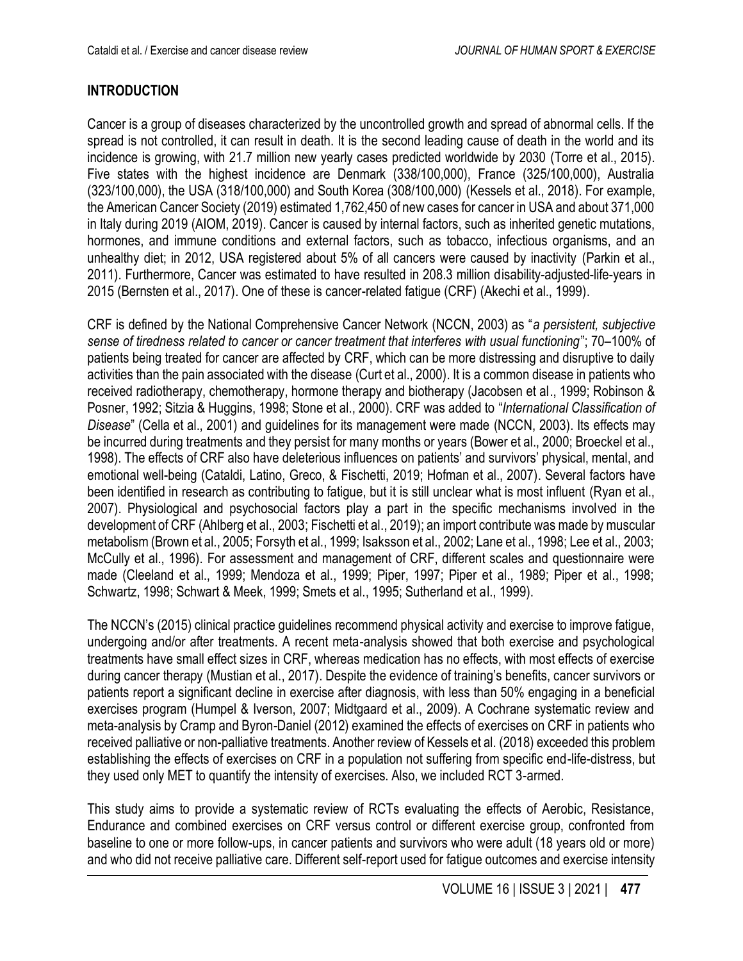# **INTRODUCTION**

Cancer is a group of diseases characterized by the uncontrolled growth and spread of abnormal cells. If the spread is not controlled, it can result in death. It is the second leading cause of death in the world and its incidence is growing, with 21.7 million new yearly cases predicted worldwide by 2030 (Torre et al., 2015). Five states with the highest incidence are Denmark (338/100,000), France (325/100,000), Australia (323/100,000), the USA (318/100,000) and South Korea (308/100,000) (Kessels et al., 2018). For example, the American Cancer Society (2019) estimated 1,762,450 of new cases for cancer in USA and about 371,000 in Italy during 2019 (AIOM, 2019). Cancer is caused by internal factors, such as inherited genetic mutations, hormones, and immune conditions and external factors, such as tobacco, infectious organisms, and an unhealthy diet; in 2012, USA registered about 5% of all cancers were caused by inactivity (Parkin et al., 2011). Furthermore, Cancer was estimated to have resulted in 208.3 million disability-adjusted-life-years in 2015 (Bernsten et al., 2017). One of these is cancer-related fatigue (CRF) (Akechi et al., 1999).

CRF is defined by the National Comprehensive Cancer Network (NCCN, 2003) as "*a persistent, subjective sense of tiredness related to cancer or cancer treatment that interferes with usual functioning*"; 70–100% of patients being treated for cancer are affected by CRF, which can be more distressing and disruptive to daily activities than the pain associated with the disease (Curt et al., 2000). It is a common disease in patients who received radiotherapy, chemotherapy, hormone therapy and biotherapy (Jacobsen et al., 1999; Robinson & Posner, 1992; Sitzia & Huggins, 1998; Stone et al., 2000). CRF was added to "*International Classification of Disease*" (Cella et al., 2001) and guidelines for its management were made (NCCN, 2003). Its effects may be incurred during treatments and they persist for many months or years (Bower et al., 2000; Broeckel et al., 1998). The effects of CRF also have deleterious influences on patients' and survivors' physical, mental, and emotional well-being (Cataldi, Latino, Greco, & Fischetti, 2019; Hofman et al., 2007). Several factors have been identified in research as contributing to fatigue, but it is still unclear what is most influent (Ryan et al., 2007). Physiological and psychosocial factors play a part in the specific mechanisms involved in the development of CRF (Ahlberg et al., 2003; Fischetti et al., 2019); an import contribute was made by muscular metabolism (Brown et al., 2005; Forsyth et al., 1999; Isaksson et al., 2002; Lane et al., 1998; Lee et al., 2003; McCully et al., 1996). For assessment and management of CRF, different scales and questionnaire were made (Cleeland et al., 1999; Mendoza et al., 1999; Piper, 1997; Piper et al., 1989; Piper et al., 1998; Schwartz, 1998; Schwart & Meek, 1999; Smets et al., 1995; Sutherland et al., 1999).

The NCCN's (2015) clinical practice guidelines recommend physical activity and exercise to improve fatigue, undergoing and/or after treatments. A recent meta-analysis showed that both exercise and psychological treatments have small effect sizes in CRF, whereas medication has no effects, with most effects of exercise during cancer therapy (Mustian et al., 2017). Despite the evidence of training's benefits, cancer survivors or patients report a significant decline in exercise after diagnosis, with less than 50% engaging in a beneficial exercises program (Humpel & Iverson, 2007; Midtgaard et al., 2009). A Cochrane systematic review and meta-analysis by Cramp and Byron-Daniel (2012) examined the effects of exercises on CRF in patients who received palliative or non-palliative treatments. Another review of Kessels et al. (2018) exceeded this problem establishing the effects of exercises on CRF in a population not suffering from specific end-life-distress, but they used only MET to quantify the intensity of exercises. Also, we included RCT 3-armed.

This study aims to provide a systematic review of RCTs evaluating the effects of Aerobic, Resistance, Endurance and combined exercises on CRF versus control or different exercise group, confronted from baseline to one or more follow-ups, in cancer patients and survivors who were adult (18 years old or more) and who did not receive palliative care. Different self-report used for fatigue outcomes and exercise intensity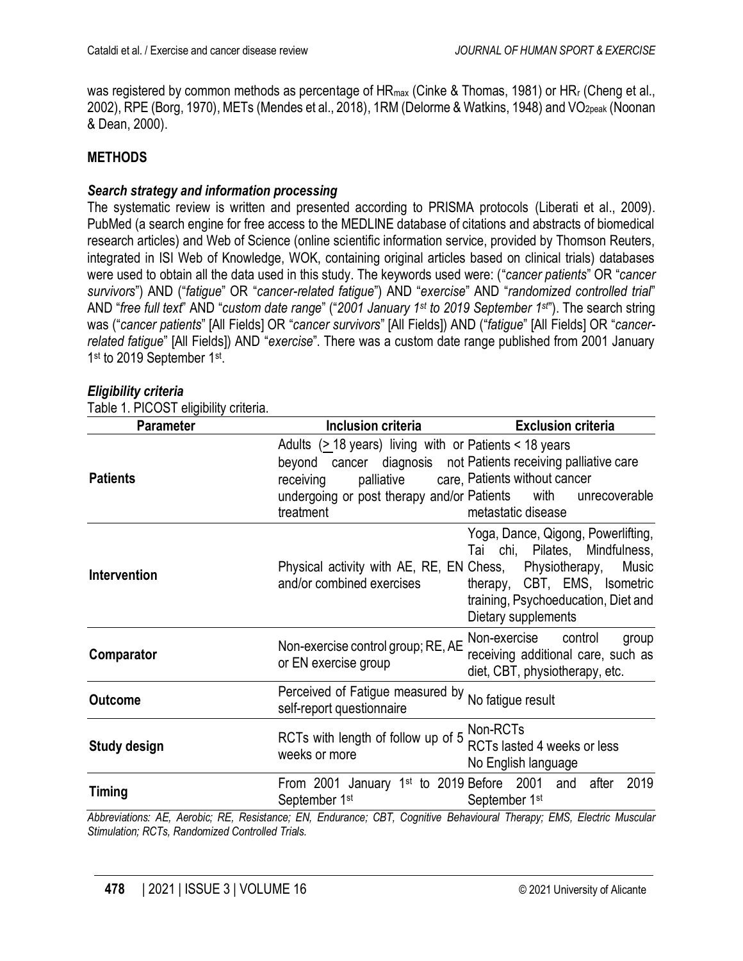was registered by common methods as percentage of HR<sub>max</sub> (Cinke & Thomas, 1981) or HR<sub>r</sub> (Cheng et al., 2002), RPE (Borg, 1970), METs (Mendes et al., 2018), 1RM (Delorme & Watkins, 1948) and VO<sub>2peak</sub> (Noonan & Dean, 2000).

## **METHODS**

#### *Search strategy and information processing*

The systematic review is written and presented according to PRISMA protocols (Liberati et al., 2009). PubMed (a search engine for free access to the MEDLINE database of citations and abstracts of biomedical research articles) and Web of Science (online scientific information service, provided by Thomson Reuters, integrated in ISI Web of Knowledge, WOK, containing original articles based on clinical trials) databases were used to obtain all the data used in this study. The keywords used were: ("*cancer patients*" OR "*cancer survivors*") AND ("*fatigue*" OR "*cancer-related fatigue*") AND "*exercise*" AND "*randomized controlled trial*" AND "*free full text*" AND "*custom date range*" ("*2001 January 1st to 2019 September 1st* "). The search string was ("*cancer patients*" [All Fields] OR "*cancer survivors*" [All Fields]) AND ("*fatigue*" [All Fields] OR "*cancerrelated fatigue*" [All Fields]) AND "*exercise*". There was a custom date range published from 2001 January 1<sup>st</sup> to 2019 September 1st.

|  | Eligibility criteria |  |
|--|----------------------|--|
|  |                      |  |

Table 1. PICOST eligibility criteria.

| <b>Parameter</b>    | <b>Inclusion criteria</b>                                                                                                                          | <b>Exclusion criteria</b>                                                                                                                                                   |  |  |  |
|---------------------|----------------------------------------------------------------------------------------------------------------------------------------------------|-----------------------------------------------------------------------------------------------------------------------------------------------------------------------------|--|--|--|
| <b>Patients</b>     | Adults (> 18 years) living with or Patients < 18 years<br>beyond cancer diagnosis not Patients receiving palliative care<br>receiving<br>treatment | palliative care, Patients without cancer<br>undergoing or post therapy and/or Patients with unrecoverable<br>metastatic disease                                             |  |  |  |
| <b>Intervention</b> | Physical activity with AE, RE, EN Chess, Physiotherapy,<br>and/or combined exercises                                                               | Yoga, Dance, Qigong, Powerlifting,<br>Tai chi, Pilates, Mindfulness,<br>Music<br>therapy, CBT, EMS, Isometric<br>training, Psychoeducation, Diet and<br>Dietary supplements |  |  |  |
| Comparator          | Non-exercise control group; RE, AE<br>or EN exercise group                                                                                         | Non-exercise control<br>group<br>receiving additional care, such as<br>diet, CBT, physiotherapy, etc.                                                                       |  |  |  |
| <b>Outcome</b>      | Perceived of Fatigue measured by<br>self-report questionnaire                                                                                      | No fatigue result                                                                                                                                                           |  |  |  |
| <b>Study design</b> | RCTs with length of follow up of 5 <b>Non-RCTs</b><br>weeks or more                                                                                | RCTs lasted 4 weeks or less<br>No English language                                                                                                                          |  |  |  |
| <b>Timing</b>       | September 1 <sup>st</sup>                                                                                                                          | From 2001 January 1st to 2019 Before 2001 and after 2019<br>September 1st                                                                                                   |  |  |  |
|                     | Abbrovistions: AE Aerobis: PE Posistance: EN Endurance: CPT Cognitive Pebovieural Therapy: EMS Electric Muscular                                   |                                                                                                                                                                             |  |  |  |

*Abbreviations: AE, Aerobic; RE, Resistance; EN, Endurance; CBT, Cognitive Behavioural Therapy; EMS, Electric Muscular Stimulation; RCTs, Randomized Controlled Trials.*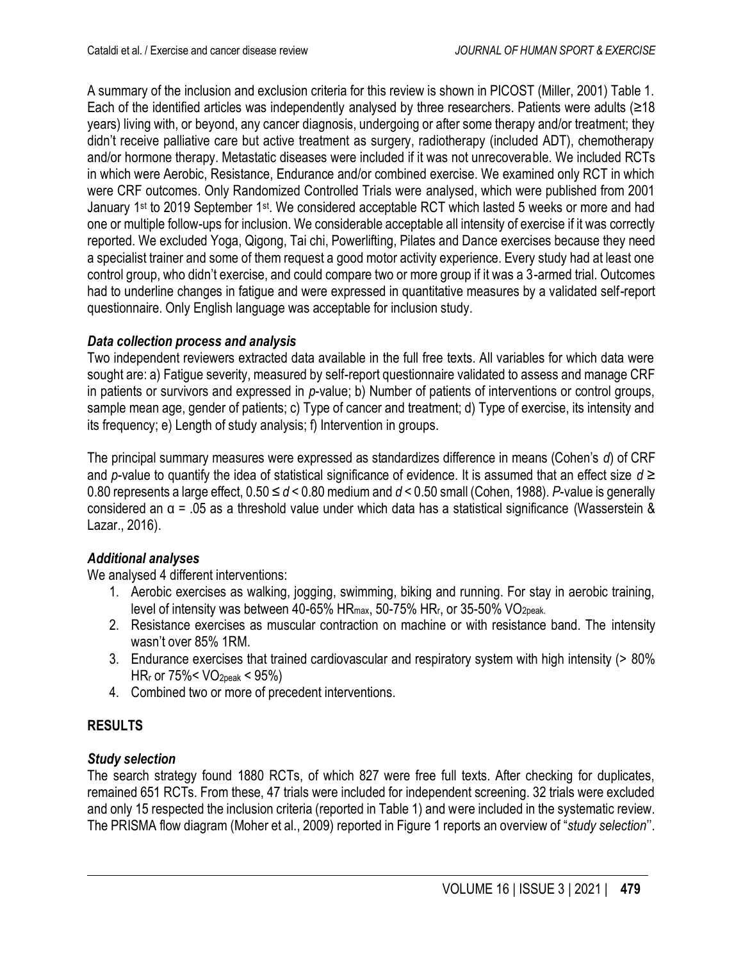A summary of the inclusion and exclusion criteria for this review is shown in PICOST (Miller, 2001) Table 1. Each of the identified articles was independently analysed by three researchers. Patients were adults (≥18 years) living with, or beyond, any cancer diagnosis, undergoing or after some therapy and/or treatment; they didn't receive palliative care but active treatment as surgery, radiotherapy (included ADT), chemotherapy and/or hormone therapy. Metastatic diseases were included if it was not unrecoverable. We included RCTs in which were Aerobic, Resistance, Endurance and/or combined exercise. We examined only RCT in which were CRF outcomes. Only Randomized Controlled Trials were analysed, which were published from 2001 January 1<sup>st</sup> to 2019 September 1<sup>st</sup>. We considered acceptable RCT which lasted 5 weeks or more and had one or multiple follow-ups for inclusion. We considerable acceptable all intensity of exercise if it was correctly reported. We excluded Yoga, Qigong, Tai chi, Powerlifting, Pilates and Dance exercises because they need a specialist trainer and some of them request a good motor activity experience. Every study had at least one control group, who didn't exercise, and could compare two or more group if it was a 3-armed trial. Outcomes had to underline changes in fatigue and were expressed in quantitative measures by a validated self-report questionnaire. Only English language was acceptable for inclusion study.

# *Data collection process and analysis*

Two independent reviewers extracted data available in the full free texts. All variables for which data were sought are: a) Fatigue severity, measured by self-report questionnaire validated to assess and manage CRF in patients or survivors and expressed in *p*-value; b) Number of patients of interventions or control groups, sample mean age, gender of patients; c) Type of cancer and treatment; d) Type of exercise, its intensity and its frequency; e) Length of study analysis; f) Intervention in groups.

The principal summary measures were expressed as standardizes difference in means (Cohen's *d*) of CRF and *p*-value to quantify the idea of statistical significance of evidence. It is assumed that an effect size *d* ≥ 0.80 represents a large effect, 0.50 ≤ *d* < 0.80 medium and *d* < 0.50 small (Cohen, 1988). *P*-value is generally considered an α = .05 as a threshold value under which data has a statistical significance (Wasserstein & Lazar., 2016).

# *Additional analyses*

We analysed 4 different interventions:

- 1. Aerobic exercises as walking, jogging, swimming, biking and running. For stay in aerobic training, level of intensity was between 40-65% HRmax, 50-75% HRr, or 35-50% VO2peak.
- 2. Resistance exercises as muscular contraction on machine or with resistance band. The intensity wasn't over 85% 1RM.
- 3. Endurance exercises that trained cardiovascular and respiratory system with high intensity (> 80%  $HR<sub>r</sub>$  or 75%< VO<sub>2peak</sub> < 95%)
- 4. Combined two or more of precedent interventions.

# **RESULTS**

# *Study selection*

The search strategy found 1880 RCTs, of which 827 were free full texts. After checking for duplicates, remained 651 RCTs. From these, 47 trials were included for independent screening. 32 trials were excluded and only 15 respected the inclusion criteria (reported in Table 1) and were included in the systematic review. The PRISMA flow diagram (Moher et al., 2009) reported in Figure 1 reports an overview of "*study selection*''.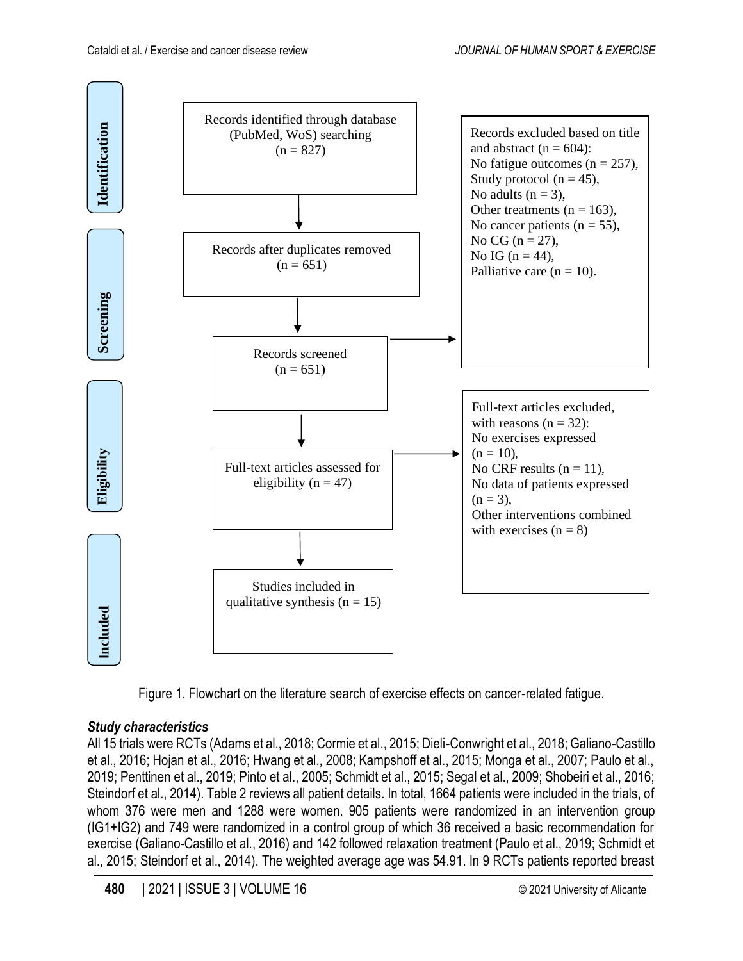

Figure 1. Flowchart on the literature search of exercise effects on cancer-related fatigue.

# *Study characteristics*

All 15 trials were RCTs (Adams et al., 2018; Cormie et al., 2015; Dieli-Conwright et al., 2018; Galiano-Castillo et al., 2016; Hojan et al., 2016; Hwang et al., 2008; Kampshoff et al., 2015; Monga et al., 2007; Paulo et al., 2019; Penttinen et al., 2019; Pinto et al., 2005; Schmidt et al., 2015; Segal et al., 2009; Shobeiri et al., 2016; Steindorf et al., 2014). Table 2 reviews all patient details. In total, 1664 patients were included in the trials, of whom 376 were men and 1288 were women. 905 patients were randomized in an intervention group (IG1+IG2) and 749 were randomized in a control group of which 36 received a basic recommendation for exercise (Galiano-Castillo et al., 2016) and 142 followed relaxation treatment (Paulo et al., 2019; Schmidt et al., 2015; Steindorf et al., 2014). The weighted average age was 54.91. In 9 RCTs patients reported breast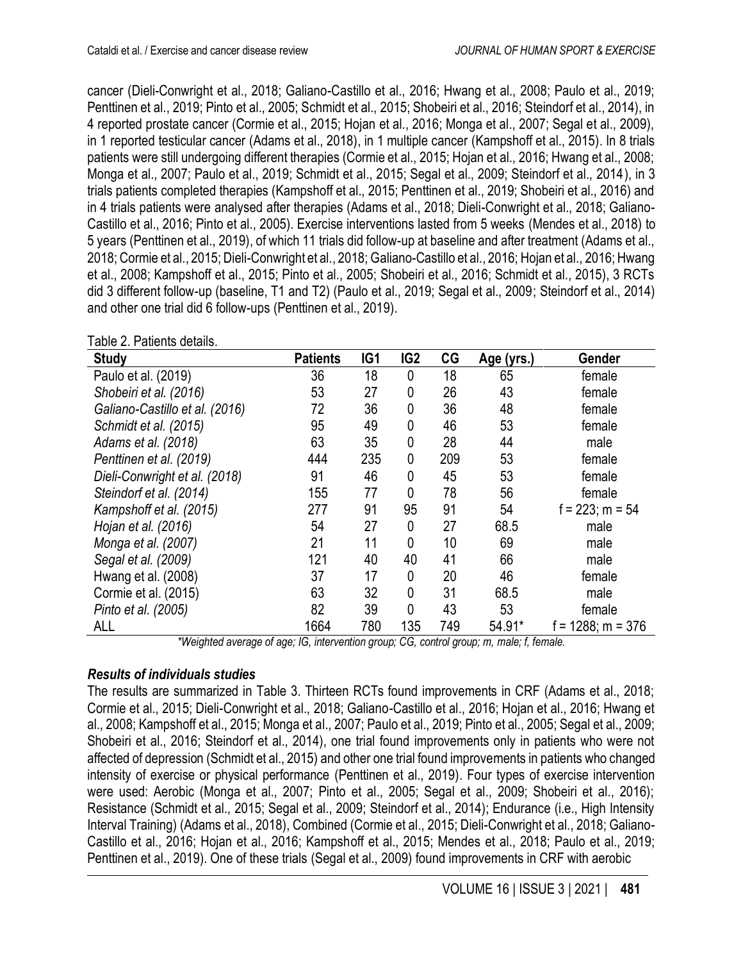cancer (Dieli-Conwright et al., 2018; Galiano-Castillo et al., 2016; Hwang et al., 2008; Paulo et al., 2019; Penttinen et al., 2019; Pinto et al., 2005; Schmidt et al., 2015; Shobeiri et al., 2016; Steindorf et al., 2014), in 4 reported prostate cancer (Cormie et al., 2015; Hojan et al., 2016; Monga et al., 2007; Segal et al., 2009), in 1 reported testicular cancer (Adams et al., 2018), in 1 multiple cancer (Kampshoff et al., 2015). In 8 trials patients were still undergoing different therapies (Cormie et al., 2015; Hojan et al., 2016; Hwang et al., 2008; Monga et al., 2007; Paulo et al., 2019; Schmidt et al., 2015; Segal et al., 2009; Steindorf et al., 2014), in 3 trials patients completed therapies (Kampshoff et al., 2015; Penttinen et al., 2019; Shobeiri et al., 2016) and in 4 trials patients were analysed after therapies (Adams et al., 2018; Dieli-Conwright et al., 2018; Galiano-Castillo et al., 2016; Pinto et al., 2005). Exercise interventions lasted from 5 weeks (Mendes et al., 2018) to 5 years (Penttinen et al., 2019), of which 11 trials did follow-up at baseline and after treatment (Adams et al., 2018; Cormie et al., 2015; Dieli-Conwright et al., 2018; Galiano-Castillo et al., 2016; Hojan et al., 2016; Hwang et al., 2008; Kampshoff et al., 2015; Pinto et al., 2005; Shobeiri et al., 2016; Schmidt et al., 2015), 3 RCTs did 3 different follow-up (baseline, T1 and T2) (Paulo et al., 2019; Segal et al., 2009; Steindorf et al., 2014) and other one trial did 6 follow-ups (Penttinen et al., 2019).

| TADIC Z. FALICITIS UCIAIIS.<br><b>Study</b> | <b>Patients</b> | IG <sub>1</sub> | IG <sub>2</sub> | CG  | Age (yrs.) | Gender               |
|---------------------------------------------|-----------------|-----------------|-----------------|-----|------------|----------------------|
| Paulo et al. (2019)                         | 36              | 18              | 0               | 18  | 65         | female               |
| Shobeiri et al. (2016)                      | 53              | 27              | 0               | 26  | 43         | female               |
| Galiano-Castillo et al. (2016)              | 72              | 36              | 0               | 36  | 48         | female               |
| Schmidt et al. (2015)                       | 95              | 49              | 0               | 46  | 53         | female               |
| Adams et al. (2018)                         | 63              | 35              | 0               | 28  | 44         | male                 |
| Penttinen et al. (2019)                     | 444             | 235             | 0               | 209 | 53         | female               |
| Dieli-Conwright et al. (2018)               | 91              | 46              | 0               | 45  | 53         | female               |
| Steindorf et al. (2014)                     | 155             | 77              | 0               | 78  | 56         | female               |
| Kampshoff et al. (2015)                     | 277             | 91              | 95              | 91  | 54         | $f = 223$ ; m = 54   |
| Hojan et al. (2016)                         | 54              | 27              | 0               | 27  | 68.5       | male                 |
| Monga et al. (2007)                         | 21              | 11              | 0               | 10  | 69         | male                 |
| Segal et al. (2009)                         | 121             | 40              | 40              | 41  | 66         | male                 |
| Hwang et al. (2008)                         | 37              | 17              | 0               | 20  | 46         | female               |
| Cormie et al. (2015)                        | 63              | 32              | 0               | 31  | 68.5       | male                 |
| Pinto et al. (2005)                         | 82              | 39              | 0               | 43  | 53         | female               |
| ALL                                         | 1664            | 780             | 135             | 749 | 54.91*     | $f = 1288$ ; m = 376 |

Table 2. Patients details.

*\*Weighted average of age; IG, intervention group; CG, control group; m, male; f, female.*

# *Results of individuals studies*

The results are summarized in Table 3. Thirteen RCTs found improvements in CRF (Adams et al., 2018; Cormie et al., 2015; Dieli-Conwright et al., 2018; Galiano-Castillo et al., 2016; Hojan et al., 2016; Hwang et al., 2008; Kampshoff et al., 2015; Monga et al., 2007; Paulo et al., 2019; Pinto et al., 2005; Segal et al., 2009; Shobeiri et al., 2016; Steindorf et al., 2014), one trial found improvements only in patients who were not affected of depression (Schmidt et al., 2015) and other one trial found improvements in patients who changed intensity of exercise or physical performance (Penttinen et al., 2019). Four types of exercise intervention were used: Aerobic (Monga et al., 2007; Pinto et al., 2005; Segal et al., 2009; Shobeiri et al., 2016); Resistance (Schmidt et al., 2015; Segal et al., 2009; Steindorf et al., 2014); Endurance (i.e., High Intensity Interval Training) (Adams et al., 2018), Combined (Cormie et al., 2015; Dieli-Conwright et al., 2018; Galiano-Castillo et al., 2016; Hojan et al., 2016; Kampshoff et al., 2015; Mendes et al., 2018; Paulo et al., 2019; Penttinen et al., 2019). One of these trials (Segal et al., 2009) found improvements in CRF with aerobic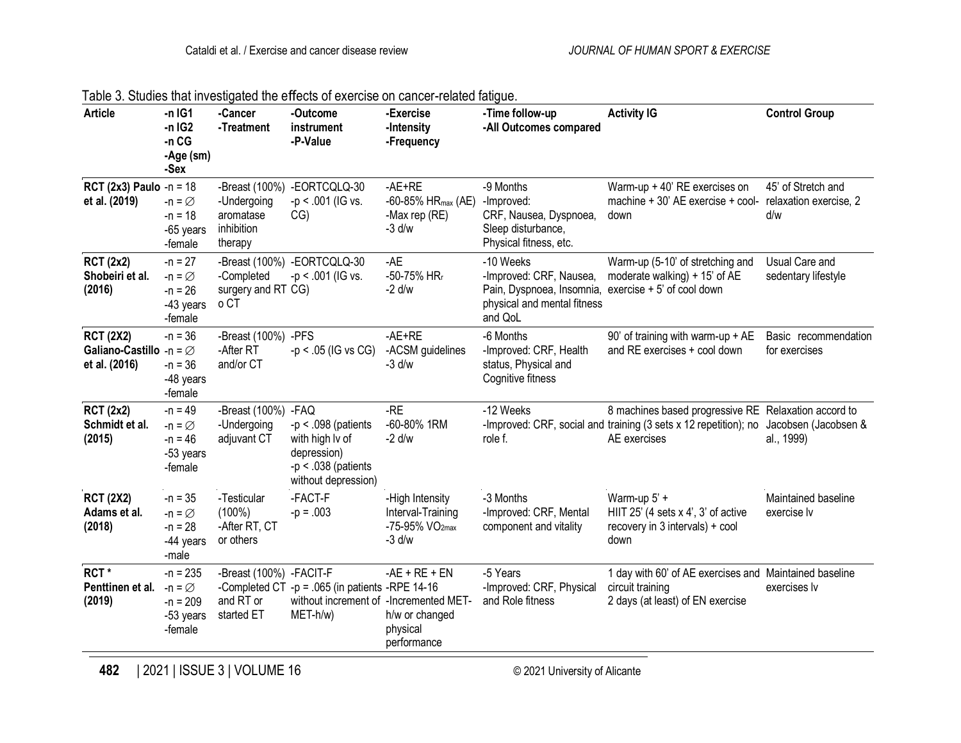| <b>Article</b>                                                           | $-n$ IG1<br>$-n$ IG2<br>$-n$ CG<br>-Age (sm)<br>-Sex                 | -Cancer<br>-Treatment                                  | -Outcome<br>instrument<br>-P-Value                                                                      | -Exercise<br>-Intensity<br>-Frequency                                          | -Time follow-up<br>-All Outcomes compared                                                                                              | <b>Activity IG</b>                                                                                                                       | <b>Control Group</b>                                |
|--------------------------------------------------------------------------|----------------------------------------------------------------------|--------------------------------------------------------|---------------------------------------------------------------------------------------------------------|--------------------------------------------------------------------------------|----------------------------------------------------------------------------------------------------------------------------------------|------------------------------------------------------------------------------------------------------------------------------------------|-----------------------------------------------------|
| RCT (2x3) Paulo -n = $18$<br>et al. (2019)                               | $-n = \varnothing$<br>$-n = 18$<br>-65 years<br>-female              | -Undergoing<br>aromatase<br>inhibition<br>therapy      | -Breast (100%) -EORTCQLQ-30<br>$-p < .001$ (IG vs.<br>CG)                                               | $-AE+RE$<br>$-60 - 85%$ HR <sub>max</sub> (AE)<br>-Max rep (RE)<br>$-3$ d/w    | -9 Months<br>-Improved:<br>CRF, Nausea, Dyspnoea,<br>Sleep disturbance,<br>Physical fitness, etc.                                      | Warm-up + 40' RE exercises on<br>machine + 30' AE exercise + cool-<br>down                                                               | 45' of Stretch and<br>relaxation exercise, 2<br>d/w |
| <b>RCT (2x2)</b><br>Shobeiri et al.<br>(2016)                            | $-n = 27$<br>$-n = \emptyset$<br>$-n = 26$<br>-43 years<br>-female   | -Completed<br>surgery and RT CG)<br>o CT               | -Breast (100%) -EORTCQLQ-30<br>$-p < .001$ (IG vs.                                                      | $-AE$<br>$-50-75%$ HR <sub>r</sub><br>$-2$ d/w                                 | -10 Weeks<br>-Improved: CRF, Nausea,<br>Pain, Dyspnoea, Insomnia, exercise + 5' of cool down<br>physical and mental fitness<br>and QoL | Warm-up (5-10' of stretching and<br>moderate walking) + 15' of AE                                                                        | Usual Care and<br>sedentary lifestyle               |
| <b>RCT (2X2)</b><br>Galiano-Castillo -n = $\varnothing$<br>et al. (2016) | $-n = 36$<br>$-n = 36$<br>-48 years<br>-female                       | -Breast (100%) -PFS<br>-After RT<br>and/or CT          | $-p < .05$ (IG vs CG)                                                                                   | $-AE+RE$<br>-ACSM guidelines<br>$-3$ d/w                                       | -6 Months<br>-Improved: CRF, Health<br>status, Physical and<br>Cognitive fitness                                                       | 90' of training with warm-up + AE<br>and RE exercises + cool down                                                                        | Basic recommendation<br>for exercises               |
| <b>RCT (2x2)</b><br>Schmidt et al.<br>(2015)                             | $-n = 49$<br>$-n = \varnothing$<br>$-n = 46$<br>-53 years<br>-female | -Breast (100%) - FAQ<br>-Undergoing<br>adjuvant CT     | $-p < .098$ (patients<br>with high Iv of<br>depression)<br>$-p < .038$ (patients<br>without depression) | $-RE$<br>-60-80% 1RM<br>$-2$ d/w                                               | -12 Weeks<br>role f.                                                                                                                   | 8 machines based progressive RE Relaxation accord to<br>-Improved: CRF, social and training (3 sets x 12 repetition); no<br>AE exercises | Jacobsen (Jacobsen &<br>al., 1999)                  |
| <b>RCT (2X2)</b><br>Adams et al.<br>(2018)                               | $-n = 35$<br>$-n = \varnothing$<br>$-n = 28$<br>-44 years<br>-male   | -Testicular<br>$(100\%)$<br>-After RT, CT<br>or others | -FACT-F<br>$-p = .003$                                                                                  | -High Intensity<br>Interval-Training<br>-75-95% VO <sub>2max</sub><br>$-3$ d/w | -3 Months<br>-Improved: CRF, Mental<br>component and vitality                                                                          | Warm-up 5' +<br>HIIT 25' (4 sets x 4', 3' of active<br>recovery in 3 intervals) + cool<br>down                                           | Maintained baseline<br>exercise lv                  |
| RCT*<br>Penttinen et al.<br>(2019)                                       | $-n = 235$<br>$-n = \emptyset$<br>$-n = 209$<br>-53 years<br>-female | -Breast (100%) -FACIT-F<br>and RT or<br>started ET     | -Completed CT -p = .065 (in patients -RPE 14-16<br>without increment of -Incremented MET-<br>MET-h/w)   | $-AE + RE + EN$<br>h/w or changed<br>physical<br>performance                   | -5 Years<br>-Improved: CRF, Physical<br>and Role fitness                                                                               | 1 day with 60' of AE exercises and Maintained baseline<br>circuit training<br>2 days (at least) of EN exercise                           | exercises lv                                        |

|  |  |  |  | Table 3. Studies that investigated the effects of exercise on cancer-related fatigue. |
|--|--|--|--|---------------------------------------------------------------------------------------|
|  |  |  |  |                                                                                       |

**482** | 2021 | ISSUE 3 | VOLUME 16 © 2021 University of Alicante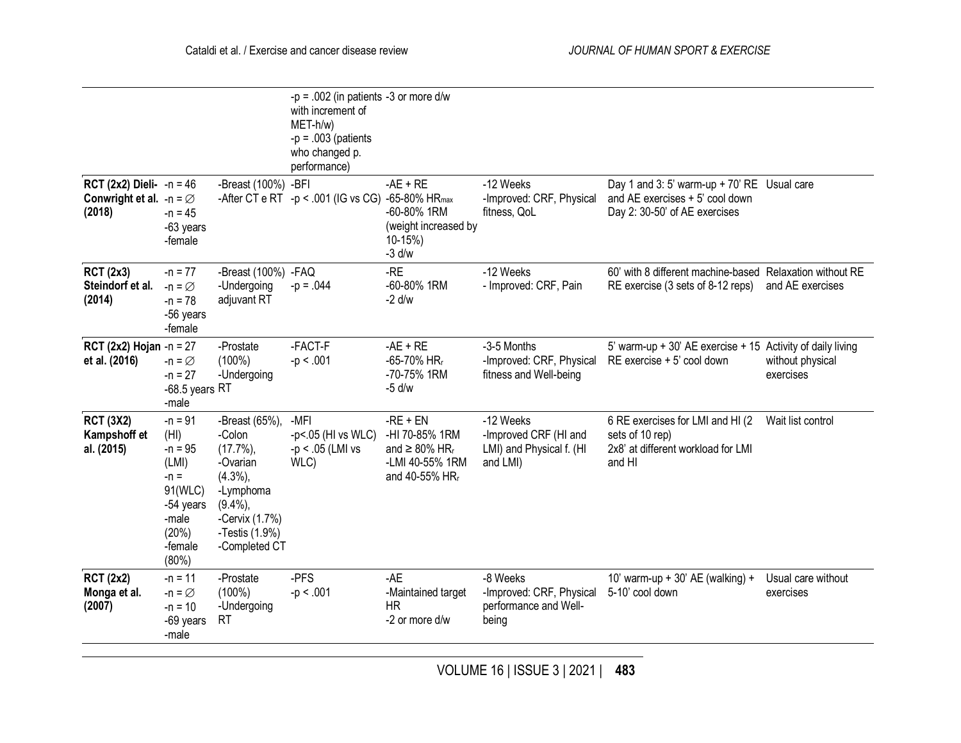|                                                                                  |                                                                                                                 |                                                                                                                                                | $-p = .002$ (in patients -3 or more d/w<br>with increment of<br>$MET-h/w)$<br>$-p = .003$ (patients<br>who changed p.<br>performance) |                                                                                                                  |                                                                            |                                                                                                                 |                                 |
|----------------------------------------------------------------------------------|-----------------------------------------------------------------------------------------------------------------|------------------------------------------------------------------------------------------------------------------------------------------------|---------------------------------------------------------------------------------------------------------------------------------------|------------------------------------------------------------------------------------------------------------------|----------------------------------------------------------------------------|-----------------------------------------------------------------------------------------------------------------|---------------------------------|
| <b>RCT (2x2) Dieli-</b> $-n = 46$<br>Conwright et al. $-n = \emptyset$<br>(2018) | $-n = 45$<br>-63 years<br>-female                                                                               | -Breast (100%) - BFI                                                                                                                           | -After CT e RT -p < .001 (IG vs CG) -65-80% HR <sub>max</sub>                                                                         | $-AE + RE$<br>-60-80% 1RM<br>(weight increased by<br>$10-15%$<br>$-3$ d/w                                        | -12 Weeks<br>-Improved: CRF, Physical<br>fitness, QoL                      | Day 1 and 3: 5' warm-up + 70' RE Usual care<br>and AE exercises + 5' cool down<br>Day 2: 30-50' of AE exercises |                                 |
| <b>RCT (2x3)</b><br>Steindorf et al.<br>(2014)                                   | $-n = 77$<br>$-n = \varnothing$<br>$-n = 78$<br>-56 years<br>-female                                            | -Breast (100%) - FAQ<br>-Undergoing<br>adjuvant RT                                                                                             | $-p = .044$                                                                                                                           | $-RE$<br>-60-80% 1RM<br>$-2$ d/w                                                                                 | -12 Weeks<br>- Improved: CRF, Pain                                         | 60' with 8 different machine-based Relaxation without RE<br>RE exercise (3 sets of 8-12 reps)                   | and AE exercises                |
| <b>RCT (2x2) Hojan</b> -n = 27<br>et al. (2016)                                  | $-n = \varnothing$<br>$-n = 27$<br>$-68.5$ years RT<br>-male                                                    | -Prostate<br>$(100\%)$<br>-Undergoing                                                                                                          | -FACT-F<br>$-p < .001$                                                                                                                | $-AE + RE$<br>-65-70% HR <sub>r</sub><br>-70-75% 1RM<br>$-5$ d/w                                                 | -3-5 Months<br>-Improved: CRF, Physical<br>fitness and Well-being          | 5' warm-up + 30' AE exercise + 15 Activity of daily living<br>RE exercise + 5' cool down                        | without physical<br>exercises   |
| <b>RCT (3X2)</b><br>Kampshoff et<br>al. (2015)                                   | $-n = 91$<br>(HI)<br>$-n = 95$<br>(LMI)<br>$-n =$<br>91(WLC)<br>-54 years<br>-male<br>(20%)<br>-female<br>(80%) | -Breast (65%),<br>-Colon<br>$(17.7\%)$<br>-Ovarian<br>$(4.3\%)$<br>-Lymphoma<br>$(9.4\%)$<br>-Cervix (1.7%)<br>-Testis (1.9%)<br>-Completed CT | -MFI<br>-p<.05 (HI vs WLC)<br>$-p < .05$ (LMI vs<br>WLC)                                                                              | $-RE + EN$<br>-HI 70-85% 1RM<br>and $\geq 80\%$ HR <sub>r</sub><br>-LMI 40-55% 1RM<br>and 40-55% HR <sub>r</sub> | -12 Weeks<br>-Improved CRF (HI and<br>LMI) and Physical f. (HI<br>and LMI) | 6 RE exercises for LMI and HI (2<br>sets of 10 rep)<br>2x8' at different workload for LMI<br>and HI             | Wait list control               |
| <b>RCT (2x2)</b><br>Monga et al.<br>(2007)                                       | $-n = 11$<br>$-n = \emptyset$<br>$-n = 10$<br>-69 years<br>-male                                                | -Prostate<br>$(100\%)$<br>-Undergoing<br><b>RT</b>                                                                                             | -PFS<br>$-p < .001$                                                                                                                   | $-AE$<br>-Maintained target<br><b>HR</b><br>-2 or more d/w                                                       | -8 Weeks<br>-Improved: CRF, Physical<br>performance and Well-<br>being     | 10' warm-up + 30' AE (walking) +<br>5-10' cool down                                                             | Usual care without<br>exercises |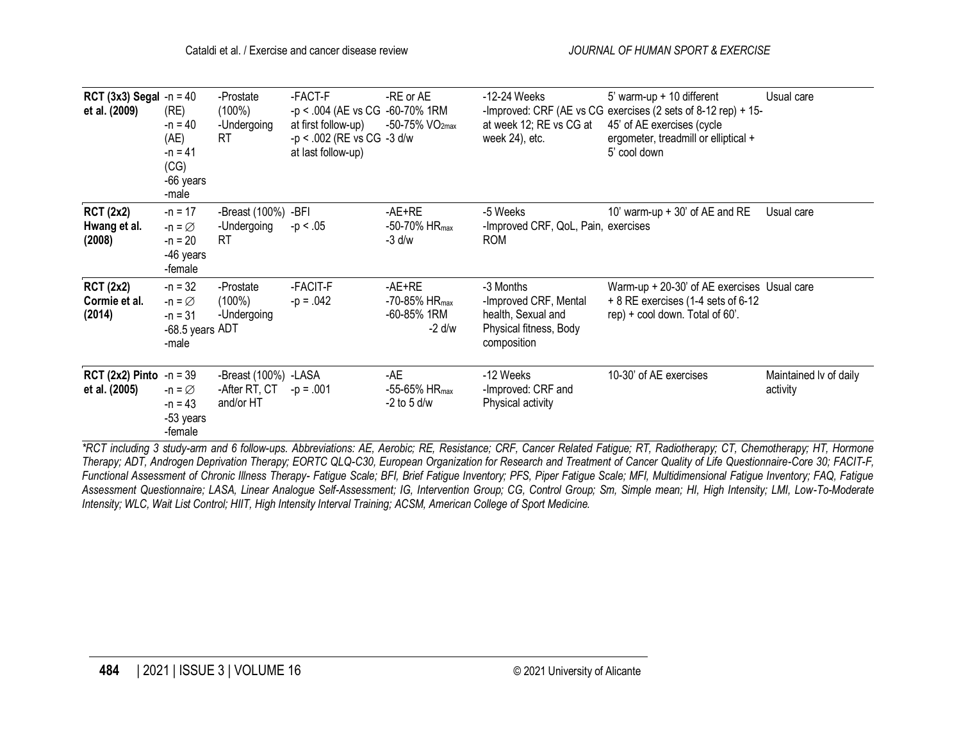| <b>RCT (3x3) Segal</b> -n = 40<br>et al. (2009)   | (RE)<br>$-n = 40$<br>(AE)<br>$-n = 41$<br>(CG)<br>-66 years<br>-male     | -Prostate<br>$(100\%)$<br>-Undergoing<br><b>RT</b> | -FACT-F<br>-p < .004 (AE vs CG -60-70% 1RM<br>at first follow-up)<br>-p < .002 (RE vs CG -3 d/w<br>at last follow-up) | -RE or AE<br>$-50 - 75%$ VO <sub>2max</sub>                         | -12-24 Weeks<br>at week 12; RE vs CG at<br>week 24), etc.                                         | 5' warm-up $+$ 10 different<br>-Improved: CRF (AE vs CG exercises (2 sets of 8-12 rep) + 15-<br>45' of AE exercises (cycle<br>ergometer, treadmill or elliptical +<br>5' cool down               | Usual care                         |
|---------------------------------------------------|--------------------------------------------------------------------------|----------------------------------------------------|-----------------------------------------------------------------------------------------------------------------------|---------------------------------------------------------------------|---------------------------------------------------------------------------------------------------|--------------------------------------------------------------------------------------------------------------------------------------------------------------------------------------------------|------------------------------------|
| <b>RCT (2x2)</b><br>Hwang et al.<br>(2008)        | $-n = 17$<br>$-n = \varnothing$<br>$-n = 20$<br>-46 years<br>-female     | -Breast (100%) -BFI<br>-Undergoing<br><b>RT</b>    | $-p < 0.05$                                                                                                           | -AE+RE<br>$-50-70\%$ HR <sub>max</sub><br>-3 d/w                    | -5 Weeks<br>-Improved CRF, QoL, Pain, exercises<br><b>ROM</b>                                     | 10' warm-up + 30' of AE and RE                                                                                                                                                                   | Usual care                         |
| <b>RCT (2x2)</b><br>Cormie et al.<br>(2014)       | $-n = 32$<br>$-n = \varnothing$<br>$-n = 31$<br>-68.5 years ADT<br>-male | -Prostate<br>$(100\%)$<br>-Undergoing              | -FACIT-F<br>$-p = .042$                                                                                               | $AE+RE$<br>$-70-85\%$ HR $_{\text{max}}$<br>-60-85% 1RM<br>$-2$ d/w | -3 Months<br>-Improved CRF, Mental<br>health, Sexual and<br>Physical fitness, Body<br>composition | Warm-up + 20-30' of AE exercises Usual care<br>+ 8 RE exercises (1-4 sets of 6-12<br>rep) + cool down. Total of 60'.                                                                             |                                    |
| <b>RCT (2x2) Pinto</b> $-n = 39$<br>et al. (2005) | $-n = \varnothing$<br>$-n = 43$<br>-53 years<br>-female                  | -Breast (100%) -LASA<br>-After RT, CT<br>and/or HT | $-p = .001$                                                                                                           | $-AE$<br>-55-65% HR <sub>max</sub><br>$-2$ to 5 d/w                 | -12 Weeks<br>-Improved: CRF and<br>Physical activity                                              | 10-30' of AE exercises<br>*DCT including 2 study sum and C follow use, Abbreviationar AE, Association DE, Desistance: CDE, Consey Delated Estimus: DT, Dedictbersony CT, Chamathersony UT, Harma | Maintained Iv of daily<br>activity |

*\*RCT including 3 study-arm and 6 follow-ups. Abbreviations: AE, Aerobic; RE, Resistance; CRF, Cancer Related Fatigue; RT, Radiotherapy; CT, Chemotherapy; HT, Hormone Therapy; ADT, Androgen Deprivation Therapy; EORTC QLQ-C30, European Organization for Research and Treatment of Cancer Quality of Life Questionnaire-Core 30; FACIT-F, Functional Assessment of Chronic Illness Therapy- Fatigue Scale; BFI, Brief Fatigue Inventory; PFS, Piper Fatigue Scale; MFI, Multidimensional Fatigue Inventory; FAQ, Fatigue Assessment Questionnaire; LASA, Linear Analogue Self-Assessment; IG, Intervention Group; CG, Control Group; Sm, Simple mean; HI, High Intensity; LMI, Low-To-Moderate Intensity; WLC, Wait List Control; HIIT, High Intensity Interval Training; ACSM, American College of Sport Medicine.*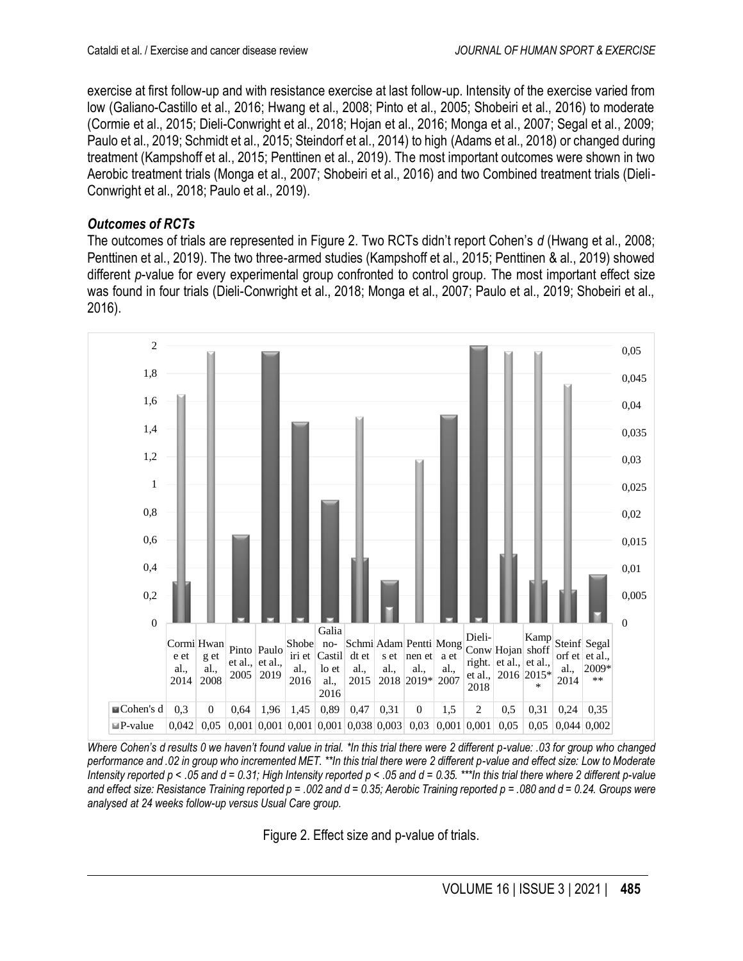exercise at first follow-up and with resistance exercise at last follow-up. Intensity of the exercise varied from low (Galiano-Castillo et al., 2016; Hwang et al., 2008; Pinto et al., 2005; Shobeiri et al., 2016) to moderate (Cormie et al., 2015; Dieli-Conwright et al., 2018; Hojan et al., 2016; Monga et al., 2007; Segal et al., 2009; Paulo et al., 2019; Schmidt et al., 2015; Steindorf et al., 2014) to high (Adams et al., 2018) or changed during treatment (Kampshoff et al., 2015; Penttinen et al., 2019). The most important outcomes were shown in two Aerobic treatment trials (Monga et al., 2007; Shobeiri et al., 2016) and two Combined treatment trials (Dieli-Conwright et al., 2018; Paulo et al., 2019).

#### *Outcomes of RCTs*

The outcomes of trials are represented in Figure 2. Two RCTs didn't report Cohen's *d* (Hwang et al., 2008; Penttinen et al., 2019). The two three-armed studies (Kampshoff et al., 2015; Penttinen & al., 2019) showed different *p*-value for every experimental group confronted to control group. The most important effect size was found in four trials (Dieli-Conwright et al., 2018; Monga et al., 2007; Paulo et al., 2019; Shobeiri et al., 2016).



*Where Cohen's d results 0 we haven't found value in trial. \*In this trial there were 2 different p-value: .03 for group who changed performance and .02 in group who incremented MET. \*\*In this trial there were 2 different p-value and effect size: Low to Moderate Intensity reported p < .05 and d = 0.31; High Intensity reported p < .05 and d = 0.35. \*\*\*In this trial there where 2 different p-value and effect size: Resistance Training reported p = .002 and d = 0.35; Aerobic Training reported p = .080 and d = 0.24. Groups were analysed at 24 weeks follow-up versus Usual Care group.*

Figure 2. Effect size and p-value of trials.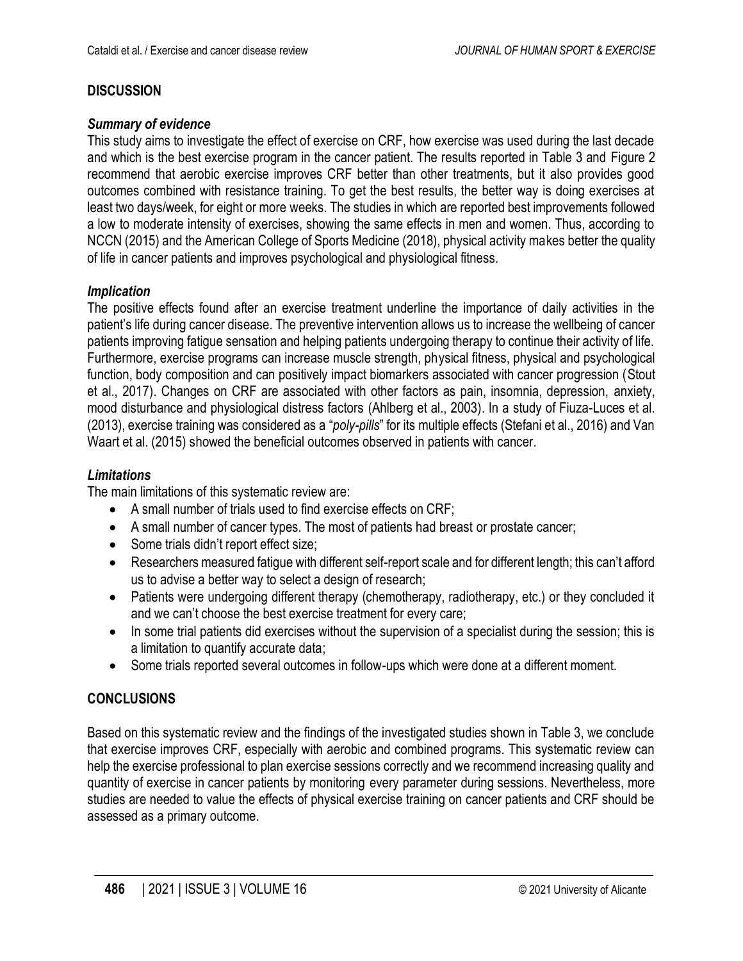# **DISCUSSION**

#### *Summary of evidence*

This study aims to investigate the effect of exercise on CRF, how exercise was used during the last decade and which is the best exercise program in the cancer patient. The results reported in Table 3 and Figure 2 recommend that aerobic exercise improves CRF better than other treatments, but it also provides good outcomes combined with resistance training. To get the best results, the better way is doing exercises at least two days/week, for eight or more weeks. The studies in which are reported best improvements followed a low to moderate intensity of exercises, showing the same effects in men and women. Thus, according to NCCN (2015) and the American College of Sports Medicine (2018), physical activity makes better the quality of life in cancer patients and improves psychological and physiological fitness.

#### *Implication*

The positive effects found after an exercise treatment underline the importance of daily activities in the patient's life during cancer disease. The preventive intervention allows us to increase the wellbeing of cancer patients improving fatigue sensation and helping patients undergoing therapy to continue their activity of life. Furthermore, exercise programs can increase muscle strength, physical fitness, physical and psychological function, body composition and can positively impact biomarkers associated with cancer progression (Stout et al., 2017). Changes on CRF are associated with other factors as pain, insomnia, depression, anxiety, mood disturbance and physiological distress factors (Ahlberg et al., 2003). In a study of Fiuza-Luces et al. (2013), exercise training was considered as a "*poly-pills*" for its multiple effects (Stefani et al., 2016) and Van Waart et al. (2015) showed the beneficial outcomes observed in patients with cancer.

# *Limitations*

The main limitations of this systematic review are:

- A small number of trials used to find exercise effects on CRF;
- A small number of cancer types. The most of patients had breast or prostate cancer;
- Some trials didn't report effect size;
- Researchers measured fatigue with different self-report scale and for different length; this can't afford us to advise a better way to select a design of research;
- Patients were undergoing different therapy (chemotherapy, radiotherapy, etc.) or they concluded it and we can't choose the best exercise treatment for every care;
- In some trial patients did exercises without the supervision of a specialist during the session; this is a limitation to quantify accurate data;
- Some trials reported several outcomes in follow-ups which were done at a different moment.

# **CONCLUSIONS**

Based on this systematic review and the findings of the investigated studies shown in Table 3, we conclude that exercise improves CRF, especially with aerobic and combined programs. This systematic review can help the exercise professional to plan exercise sessions correctly and we recommend increasing quality and quantity of exercise in cancer patients by monitoring every parameter during sessions. Nevertheless, more studies are needed to value the effects of physical exercise training on cancer patients and CRF should be assessed as a primary outcome.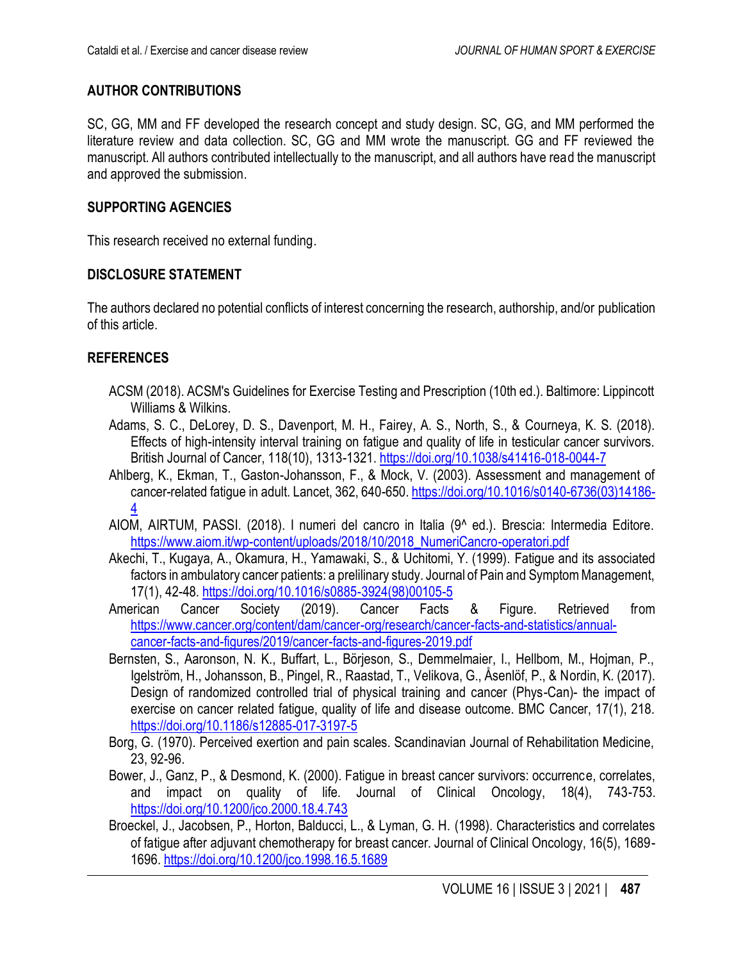## **AUTHOR CONTRIBUTIONS**

SC, GG, MM and FF developed the research concept and study design. SC, GG, and MM performed the literature review and data collection. SC, GG and MM wrote the manuscript. GG and FF reviewed the manuscript. All authors contributed intellectually to the manuscript, and all authors have read the manuscript and approved the submission.

#### **SUPPORTING AGENCIES**

This research received no external funding.

#### **DISCLOSURE STATEMENT**

The authors declared no potential conflicts of interest concerning the research, authorship, and/or publication of this article.

#### **REFERENCES**

- ACSM (2018). ACSM's Guidelines for Exercise Testing and Prescription (10th ed.). Baltimore: Lippincott Williams & Wilkins.
- Adams, S. C., DeLorey, D. S., Davenport, M. H., Fairey, A. S., North, S., & Courneya, K. S. (2018). Effects of high-intensity interval training on fatigue and quality of life in testicular cancer survivors. British Journal of Cancer, 118(10), 1313-1321. <https://doi.org/10.1038/s41416-018-0044-7>
- Ahlberg, K., Ekman, T., Gaston-Johansson, F., & Mock, V. (2003). Assessment and management of cancer-related fatigue in adult. Lancet, 362, 640-650. [https://doi.org/10.1016/s0140-6736\(03\)14186-](https://doi.org/10.1016/s0140-6736(03)14186-4) [4](https://doi.org/10.1016/s0140-6736(03)14186-4)
- AIOM, AIRTUM, PASSI. (2018). I numeri del cancro in Italia (9^ ed.). Brescia: Intermedia Editore. [https://www.aiom.it/wp-content/uploads/2018/10/2018\\_NumeriCancro-operatori.pdf](https://www.aiom.it/wp-content/uploads/2018/10/2018_NumeriCancro-operatori.pdf)
- Akechi, T., Kugaya, A., Okamura, H., Yamawaki, S., & Uchitomi, Y. (1999). Fatigue and its associated factors in ambulatory cancer patients: a prelilinary study. Journal of Pain and Symptom Management, 17(1), 42-48. [https://doi.org/10.1016/s0885-3924\(98\)00105-5](https://doi.org/10.1016/s0885-3924(98)00105-5)
- American Cancer Society (2019). Cancer Facts & Figure. Retrieved from [https://www.cancer.org/content/dam/cancer-org/research/cancer-facts-and-statistics/annual](https://www.cancer.org/content/dam/cancer-org/research/cancer-facts-and-statistics/annual-cancer-facts-and-figures/2019/cancer-facts-and-figures-2019.pdf)[cancer-facts-and-figures/2019/cancer-facts-and-figures-2019.pdf](https://www.cancer.org/content/dam/cancer-org/research/cancer-facts-and-statistics/annual-cancer-facts-and-figures/2019/cancer-facts-and-figures-2019.pdf)
- Bernsten, S., Aaronson, N. K., Buffart, L., Börjeson, S., Demmelmaier, I., Hellbom, M., Hojman, P., Igelström, H., Johansson, B., Pingel, R., Raastad, T., Velikova, G., Åsenlöf, P., & Nordin, K. (2017). Design of randomized controlled trial of physical training and cancer (Phys-Can)- the impact of exercise on cancer related fatigue, quality of life and disease outcome. BMC Cancer, 17(1), 218. <https://doi.org/10.1186/s12885-017-3197-5>
- Borg, G. (1970). Perceived exertion and pain scales. Scandinavian Journal of Rehabilitation Medicine, 23, 92-96.
- Bower, J., Ganz, P., & Desmond, K. (2000). Fatigue in breast cancer survivors: occurrence, correlates, and impact on quality of life. Journal of Clinical Oncology, 18(4), 743-753. <https://doi.org/10.1200/jco.2000.18.4.743>
- Broeckel, J., Jacobsen, P., Horton, Balducci, L., & Lyman, G. H. (1998). Characteristics and correlates of fatigue after adjuvant chemotherapy for breast cancer. Journal of Clinical Oncology, 16(5), 1689- 1696. <https://doi.org/10.1200/jco.1998.16.5.1689>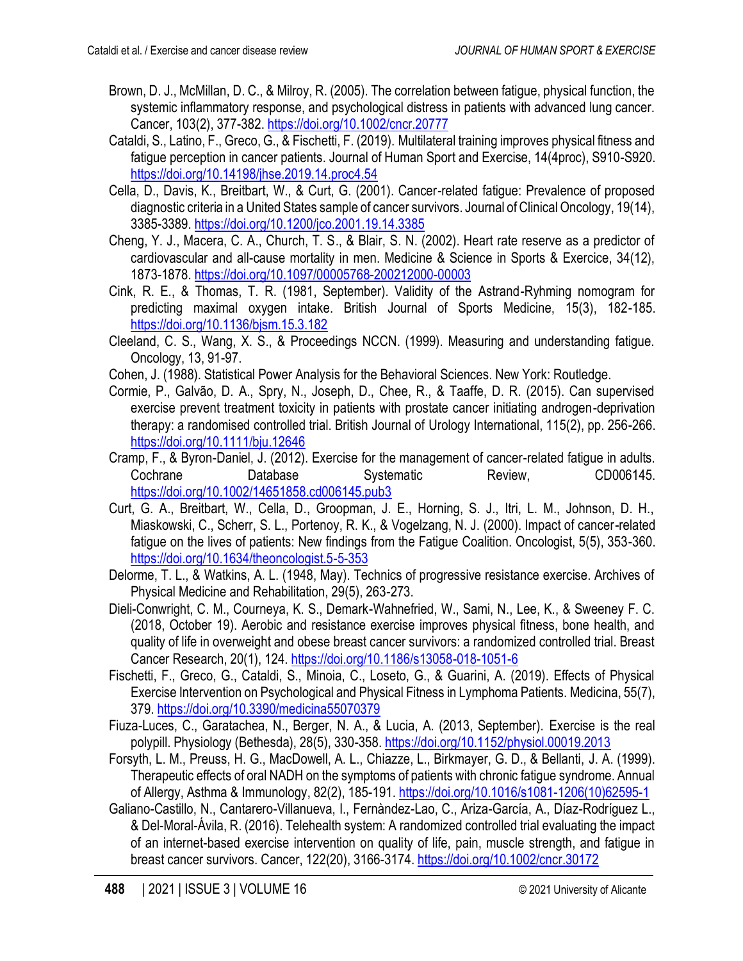- Brown, D. J., McMillan, D. C., & Milroy, R. (2005). The correlation between fatigue, physical function, the systemic inflammatory response, and psychological distress in patients with advanced lung cancer. Cancer, 103(2), 377-382. <https://doi.org/10.1002/cncr.20777>
- Cataldi, S., Latino, F., Greco, G., & Fischetti, F. (2019). Multilateral training improves physical fitness and fatigue perception in cancer patients. Journal of Human Sport and Exercise, 14(4proc), S910-S920. <https://doi.org/10.14198/jhse.2019.14.proc4.54>
- Cella, D., Davis, K., Breitbart, W., & Curt, G. (2001). Cancer-related fatigue: Prevalence of proposed diagnostic criteria in a United States sample of cancer survivors. Journal of Clinical Oncology, 19(14), 3385-3389. <https://doi.org/10.1200/jco.2001.19.14.3385>
- Cheng, Y. J., Macera, C. A., Church, T. S., & Blair, S. N. (2002). Heart rate reserve as a predictor of cardiovascular and all-cause mortality in men. Medicine & Science in Sports & Exercice, 34(12), 1873-1878. <https://doi.org/10.1097/00005768-200212000-00003>
- Cink, R. E., & Thomas, T. R. (1981, September). Validity of the Astrand-Ryhming nomogram for predicting maximal oxygen intake. British Journal of Sports Medicine, 15(3), 182-185. <https://doi.org/10.1136/bjsm.15.3.182>
- Cleeland, C. S., Wang, X. S., & Proceedings NCCN. (1999). Measuring and understanding fatigue. Oncology, 13, 91-97.
- Cohen, J. (1988). Statistical Power Analysis for the Behavioral Sciences. New York: Routledge.
- Cormie, P., Galvão, D. A., Spry, N., Joseph, D., Chee, R., & Taaffe, D. R. (2015). Can supervised exercise prevent treatment toxicity in patients with prostate cancer initiating androgen-deprivation therapy: a randomised controlled trial. British Journal of Urology International, 115(2), pp. 256-266. <https://doi.org/10.1111/bju.12646>
- Cramp, F., & Byron-Daniel, J. (2012). Exercise for the management of cancer-related fatigue in adults. Cochrane Database Systematic Review, CD006145. <https://doi.org/10.1002/14651858.cd006145.pub3>
- Curt, G. A., Breitbart, W., Cella, D., Groopman, J. E., Horning, S. J., Itri, L. M., Johnson, D. H., Miaskowski, C., Scherr, S. L., Portenoy, R. K., & Vogelzang, N. J. (2000). Impact of cancer-related fatigue on the lives of patients: New findings from the Fatigue Coalition. Oncologist, 5(5), 353-360. <https://doi.org/10.1634/theoncologist.5-5-353>
- Delorme, T. L., & Watkins, A. L. (1948, May). Technics of progressive resistance exercise. Archives of Physical Medicine and Rehabilitation, 29(5), 263-273.
- Dieli-Conwright, C. M., Courneya, K. S., Demark-Wahnefried, W., Sami, N., Lee, K., & Sweeney F. C. (2018, October 19). Aerobic and resistance exercise improves physical fitness, bone health, and quality of life in overweight and obese breast cancer survivors: a randomized controlled trial. Breast Cancer Research, 20(1), 124. <https://doi.org/10.1186/s13058-018-1051-6>
- Fischetti, F., Greco, G., Cataldi, S., Minoia, C., Loseto, G., & Guarini, A. (2019). Effects of Physical Exercise Intervention on Psychological and Physical Fitness in Lymphoma Patients. Medicina, 55(7), 379[. https://doi.org/10.3390/medicina55070379](https://doi.org/10.3390/medicina55070379)
- Fiuza-Luces, C., Garatachea, N., Berger, N. A., & Lucia, A. (2013, September). Exercise is the real polypill. Physiology (Bethesda), 28(5), 330-358. <https://doi.org/10.1152/physiol.00019.2013>
- Forsyth, L. M., Preuss, H. G., MacDowell, A. L., Chiazze, L., Birkmayer, G. D., & Bellanti, J. A. (1999). Therapeutic effects of oral NADH on the symptoms of patients with chronic fatigue syndrome. Annual of Allergy, Asthma & Immunology, 82(2), 185-191. [https://doi.org/10.1016/s1081-1206\(10\)62595-1](https://doi.org/10.1016/s1081-1206(10)62595-1)
- Galiano-Castillo, N., Cantarero-Villanueva, I., Fernàndez-Lao, C., Ariza-García, A., Díaz-Rodríguez L., & Del-Moral-Ávila, R. (2016). Telehealth system: A randomized controlled trial evaluating the impact of an internet-based exercise intervention on quality of life, pain, muscle strength, and fatigue in breast cancer survivors. Cancer, 122(20), 3166-3174. <https://doi.org/10.1002/cncr.30172>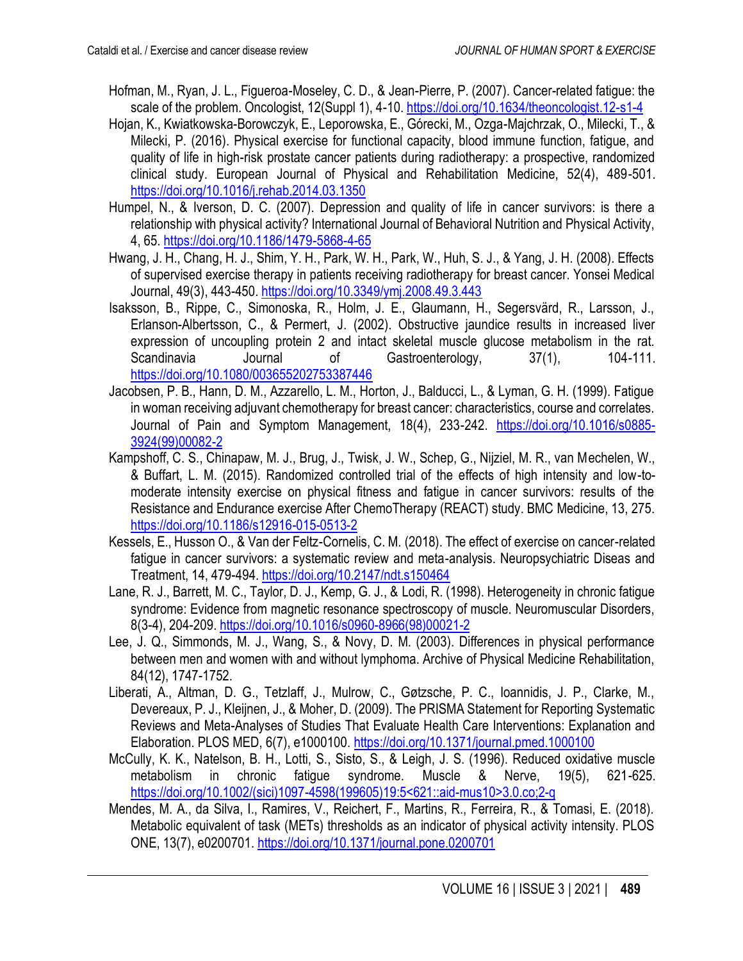- Hofman, M., Ryan, J. L., Figueroa-Moseley, C. D., & Jean-Pierre, P. (2007). Cancer-related fatigue: the scale of the problem. Oncologist, 12(Suppl 1), 4-10. <https://doi.org/10.1634/theoncologist.12-s1-4>
- Hojan, K., Kwiatkowska-Borowczyk, E., Leporowska, E., Górecki, M., Ozga-Majchrzak, O., Milecki, T., & Milecki, P. (2016). Physical exercise for functional capacity, blood immune function, fatigue, and quality of life in high-risk prostate cancer patients during radiotherapy: a prospective, randomized clinical study. European Journal of Physical and Rehabilitation Medicine, 52(4), 489-501. <https://doi.org/10.1016/j.rehab.2014.03.1350>
- Humpel, N., & Iverson, D. C. (2007). Depression and quality of life in cancer survivors: is there a relationship with physical activity? International Journal of Behavioral Nutrition and Physical Activity, 4, 65.<https://doi.org/10.1186/1479-5868-4-65>
- Hwang, J. H., Chang, H. J., Shim, Y. H., Park, W. H., Park, W., Huh, S. J., & Yang, J. H. (2008). Effects of supervised exercise therapy in patients receiving radiotherapy for breast cancer. Yonsei Medical Journal, 49(3), 443-450. <https://doi.org/10.3349/ymj.2008.49.3.443>
- Isaksson, B., Rippe, C., Simonoska, R., Holm, J. E., Glaumann, H., Segersvärd, R., Larsson, J., Erlanson-Albertsson, C., & Permert, J. (2002). Obstructive jaundice results in increased liver expression of uncoupling protein 2 and intact skeletal muscle glucose metabolism in the rat. Scandinavia Journal of Gastroenterology, 37(1), 104-111. <https://doi.org/10.1080/003655202753387446>
- Jacobsen, P. B., Hann, D. M., Azzarello, L. M., Horton, J., Balducci, L., & Lyman, G. H. (1999). Fatigue in woman receiving adjuvant chemotherapy for breast cancer: characteristics, course and correlates. Journal of Pain and Symptom Management, 18(4), 233-242. [https://doi.org/10.1016/s0885-](https://doi.org/10.1016/s0885-3924(99)00082-2) [3924\(99\)00082-2](https://doi.org/10.1016/s0885-3924(99)00082-2)
- Kampshoff, C. S., Chinapaw, M. J., Brug, J., Twisk, J. W., Schep, G., Nijziel, M. R., van Mechelen, W., & Buffart, L. M. (2015). Randomized controlled trial of the effects of high intensity and low-tomoderate intensity exercise on physical fitness and fatigue in cancer survivors: results of the Resistance and Endurance exercise After ChemoTherapy (REACT) study. BMC Medicine, 13, 275. <https://doi.org/10.1186/s12916-015-0513-2>
- Kessels, E., Husson O., & Van der Feltz-Cornelis, C. M. (2018). The effect of exercise on cancer-related fatigue in cancer survivors: a systematic review and meta-analysis. Neuropsychiatric Diseas and Treatment, 14, 479-494. <https://doi.org/10.2147/ndt.s150464>
- Lane, R. J., Barrett, M. C., Taylor, D. J., Kemp, G. J., & Lodi, R. (1998). Heterogeneity in chronic fatigue syndrome: Evidence from magnetic resonance spectroscopy of muscle. Neuromuscular Disorders, 8(3-4), 204-209. [https://doi.org/10.1016/s0960-8966\(98\)00021-2](https://doi.org/10.1016/s0960-8966(98)00021-2)
- Lee, J. Q., Simmonds, M. J., Wang, S., & Novy, D. M. (2003). Differences in physical performance between men and women with and without lymphoma. Archive of Physical Medicine Rehabilitation, 84(12), 1747-1752.
- Liberati, A., Altman, D. G., Tetzlaff, J., Mulrow, C., Gøtzsche, P. C., Ioannidis, J. P., Clarke, M., Devereaux, P. J., Kleijnen, J., & Moher, D. (2009). The PRISMA Statement for Reporting Systematic Reviews and Meta-Analyses of Studies That Evaluate Health Care Interventions: Explanation and Elaboration. PLOS MED, 6(7), e1000100.<https://doi.org/10.1371/journal.pmed.1000100>
- McCully, K. K., Natelson, B. H., Lotti, S., Sisto, S., & Leigh, J. S. (1996). Reduced oxidative muscle metabolism in chronic fatigue syndrome. Muscle & Nerve, 19(5), 621-625. [https://doi.org/10.1002/\(sici\)1097-4598\(199605\)19:5<621::aid-mus10>3.0.co;2-q](https://doi.org/10.1002/(sici)1097-4598(199605)19:5%3c621::aid-mus10%3e3.0.co;2-q)
- Mendes, M. A., da Silva, I., Ramires, V., Reichert, F., Martins, R., Ferreira, R., & Tomasi, E. (2018). Metabolic equivalent of task (METs) thresholds as an indicator of physical activity intensity. PLOS ONE, 13(7), e0200701. <https://doi.org/10.1371/journal.pone.0200701>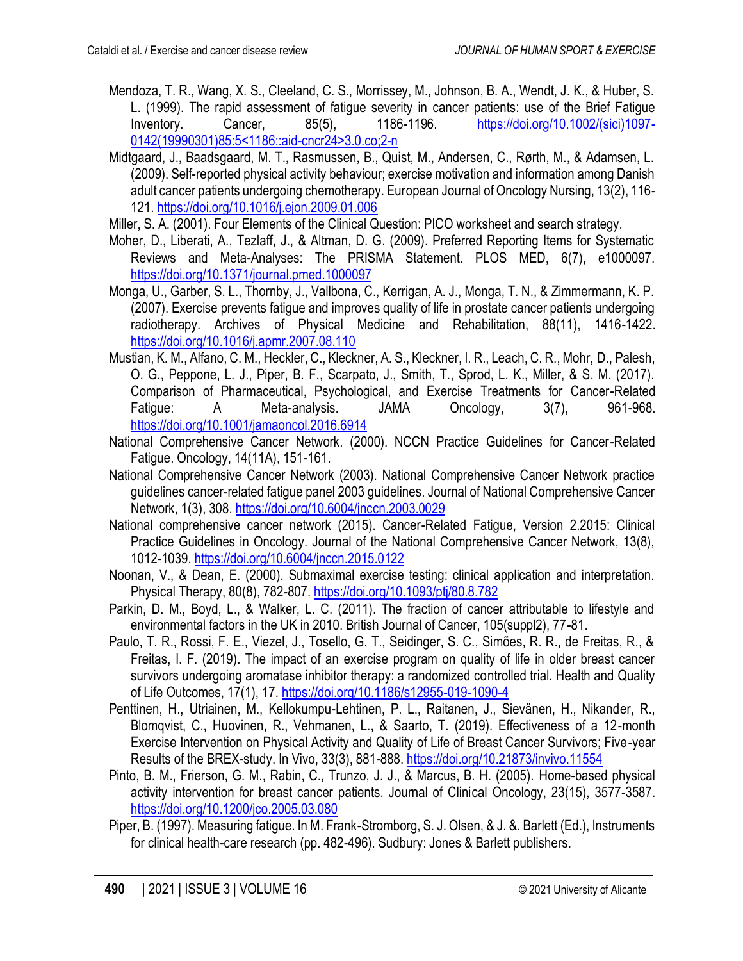- Mendoza, T. R., Wang, X. S., Cleeland, C. S., Morrissey, M., Johnson, B. A., Wendt, J. K., & Huber, S. L. (1999). The rapid assessment of fatigue severity in cancer patients: use of the Brief Fatigue Inventory. Cancer, 85(5), 1186-1196. [https://doi.org/10.1002/\(sici\)1097-](https://doi.org/10.1002/(sici)1097-0142(19990301)85:5%3c1186::aid-cncr24%3e3.0.co;2-n) [0142\(19990301\)85:5<1186::aid-cncr24>3.0.co;2-n](https://doi.org/10.1002/(sici)1097-0142(19990301)85:5%3c1186::aid-cncr24%3e3.0.co;2-n)
- Midtgaard, J., Baadsgaard, M. T., Rasmussen, B., Quist, M., Andersen, C., Rørth, M., & Adamsen, L. (2009). Self-reported physical activity behaviour; exercise motivation and information among Danish adult cancer patients undergoing chemotherapy. European Journal of Oncology Nursing, 13(2), 116- 121[. https://doi.org/10.1016/j.ejon.2009.01.006](https://doi.org/10.1016/j.ejon.2009.01.006)
- Miller, S. A. (2001). Four Elements of the Clinical Question: PICO worksheet and search strategy.
- Moher, D., Liberati, A., Tezlaff, J., & Altman, D. G. (2009). Preferred Reporting Items for Systematic Reviews and Meta-Analyses: The PRISMA Statement. PLOS MED, 6(7), e1000097. <https://doi.org/10.1371/journal.pmed.1000097>
- Monga, U., Garber, S. L., Thornby, J., Vallbona, C., Kerrigan, A. J., Monga, T. N., & Zimmermann, K. P. (2007). Exercise prevents fatigue and improves quality of life in prostate cancer patients undergoing radiotherapy. Archives of Physical Medicine and Rehabilitation, 88(11), 1416-1422. <https://doi.org/10.1016/j.apmr.2007.08.110>
- Mustian, K. M., Alfano, C. M., Heckler, C., Kleckner, A. S., Kleckner, I. R., Leach, C. R., Mohr, D., Palesh, O. G., Peppone, L. J., Piper, B. F., Scarpato, J., Smith, T., Sprod, L. K., Miller, & S. M. (2017). Comparison of Pharmaceutical, Psychological, and Exercise Treatments for Cancer-Related Fatigue: A Meta-analysis. JAMA Oncology, 3(7), 961-968. <https://doi.org/10.1001/jamaoncol.2016.6914>
- National Comprehensive Cancer Network. (2000). NCCN Practice Guidelines for Cancer-Related Fatigue. Oncology, 14(11A), 151-161.
- National Comprehensive Cancer Network (2003). National Comprehensive Cancer Network practice guidelines cancer-related fatigue panel 2003 guidelines. Journal of National Comprehensive Cancer Network, 1(3), 308. <https://doi.org/10.6004/jnccn.2003.0029>
- National comprehensive cancer network (2015). Cancer-Related Fatigue, Version 2.2015: Clinical Practice Guidelines in Oncology. Journal of the National Comprehensive Cancer Network, 13(8), 1012-1039. <https://doi.org/10.6004/jnccn.2015.0122>
- Noonan, V., & Dean, E. (2000). Submaximal exercise testing: clinical application and interpretation. Physical Therapy, 80(8), 782-807. <https://doi.org/10.1093/ptj/80.8.782>
- Parkin, D. M., Boyd, L., & Walker, L. C. (2011). The fraction of cancer attributable to lifestyle and environmental factors in the UK in 2010. British Journal of Cancer, 105(suppl2), 77-81.
- Paulo, T. R., Rossi, F. E., Viezel, J., Tosello, G. T., Seidinger, S. C., Simões, R. R., de Freitas, R., & Freitas, I. F. (2019). The impact of an exercise program on quality of life in older breast cancer survivors undergoing aromatase inhibitor therapy: a randomized controlled trial. Health and Quality of Life Outcomes, 17(1), 17.<https://doi.org/10.1186/s12955-019-1090-4>
- Penttinen, H., Utriainen, M., Kellokumpu-Lehtinen, P. L., Raitanen, J., Sievänen, H., Nikander, R., Blomqvist, C., Huovinen, R., Vehmanen, L., & Saarto, T. (2019). Effectiveness of a 12-month Exercise Intervention on Physical Activity and Quality of Life of Breast Cancer Survivors; Five-year Results of the BREX-study. In Vivo, 33(3), 881-888.<https://doi.org/10.21873/invivo.11554>
- Pinto, B. M., Frierson, G. M., Rabin, C., Trunzo, J. J., & Marcus, B. H. (2005). Home-based physical activity intervention for breast cancer patients. Journal of Clinical Oncology, 23(15), 3577-3587. <https://doi.org/10.1200/jco.2005.03.080>
- Piper, B. (1997). Measuring fatigue. In M. Frank-Stromborg, S. J. Olsen, & J. &. Barlett (Ed.), Instruments for clinical health-care research (pp. 482-496). Sudbury: Jones & Barlett publishers.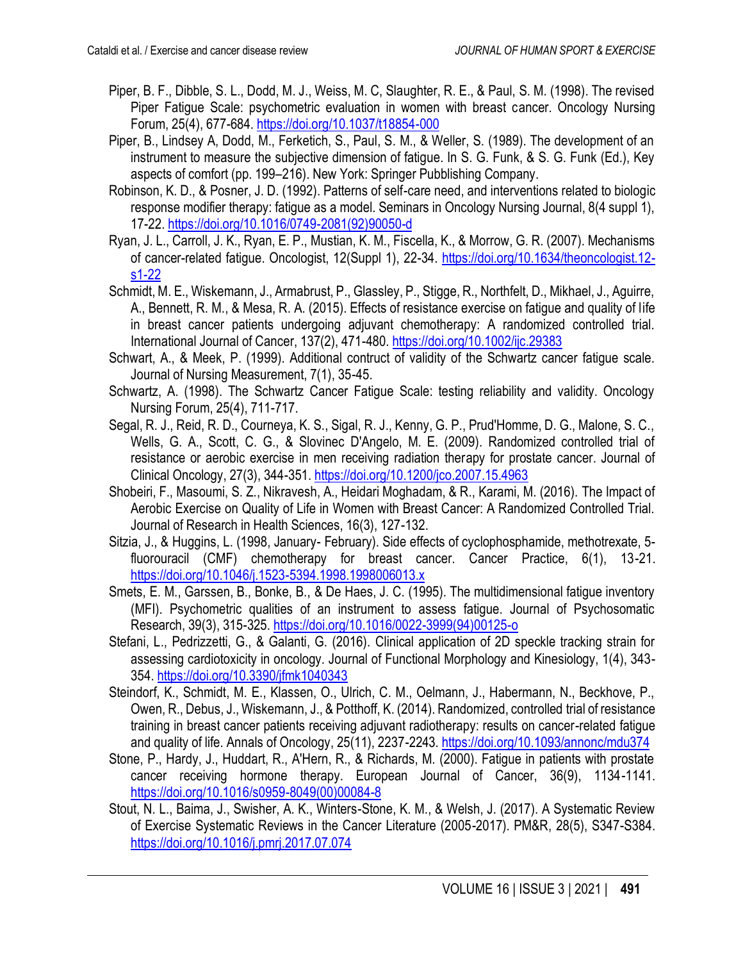- Piper, B. F., Dibble, S. L., Dodd, M. J., Weiss, M. C, Slaughter, R. E., & Paul, S. M. (1998). The revised Piper Fatigue Scale: psychometric evaluation in women with breast cancer. Oncology Nursing Forum, 25(4), 677-684. <https://doi.org/10.1037/t18854-000>
- Piper, B., Lindsey A, Dodd, M., Ferketich, S., Paul, S. M., & Weller, S. (1989). The development of an instrument to measure the subjective dimension of fatigue. In S. G. Funk, & S. G. Funk (Ed.), Key aspects of comfort (pp. 199–216). New York: Springer Pubblishing Company.
- Robinson, K. D., & Posner, J. D. (1992). Patterns of self-care need, and interventions related to biologic response modifier therapy: fatigue as a model. Seminars in Oncology Nursing Journal, 8(4 suppl 1), 17-22. [https://doi.org/10.1016/0749-2081\(92\)90050-d](https://doi.org/10.1016/0749-2081(92)90050-d)
- Ryan, J. L., Carroll, J. K., Ryan, E. P., Mustian, K. M., Fiscella, K., & Morrow, G. R. (2007). Mechanisms of cancer-related fatigue. Oncologist, 12(Suppl 1), 22-34. [https://doi.org/10.1634/theoncologist.12](https://doi.org/10.1634/theoncologist.12-s1-22) [s1-22](https://doi.org/10.1634/theoncologist.12-s1-22)
- Schmidt, M. E., Wiskemann, J., Armabrust, P., Glassley, P., Stigge, R., Northfelt, D., Mikhael, J., Aguirre, A., Bennett, R. M., & Mesa, R. A. (2015). Effects of resistance exercise on fatigue and quality of life in breast cancer patients undergoing adjuvant chemotherapy: A randomized controlled trial. International Journal of Cancer, 137(2), 471-480.<https://doi.org/10.1002/ijc.29383>
- Schwart, A., & Meek, P. (1999). Additional contruct of validity of the Schwartz cancer fatigue scale. Journal of Nursing Measurement, 7(1), 35-45.
- Schwartz, A. (1998). The Schwartz Cancer Fatigue Scale: testing reliability and validity. Oncology Nursing Forum, 25(4), 711-717.
- Segal, R. J., Reid, R. D., Courneya, K. S., Sigal, R. J., Kenny, G. P., Prud'Homme, D. G., Malone, S. C., Wells, G. A., Scott, C. G., & Slovinec D'Angelo, M. E. (2009). Randomized controlled trial of resistance or aerobic exercise in men receiving radiation therapy for prostate cancer. Journal of Clinical Oncology, 27(3), 344-351.<https://doi.org/10.1200/jco.2007.15.4963>
- Shobeiri, F., Masoumi, S. Z., Nikravesh, A., Heidari Moghadam, & R., Karami, M. (2016). The Impact of Aerobic Exercise on Quality of Life in Women with Breast Cancer: A Randomized Controlled Trial. Journal of Research in Health Sciences, 16(3), 127-132.
- Sitzia, J., & Huggins, L. (1998, January- February). Side effects of cyclophosphamide, methotrexate, 5 fluorouracil (CMF) chemotherapy for breast cancer. Cancer Practice, 6(1), 13-21. <https://doi.org/10.1046/j.1523-5394.1998.1998006013.x>
- Smets, E. M., Garssen, B., Bonke, B., & De Haes, J. C. (1995). The multidimensional fatigue inventory (MFI). Psychometric qualities of an instrument to assess fatigue. Journal of Psychosomatic Research, 39(3), 315-325. [https://doi.org/10.1016/0022-3999\(94\)00125-o](https://doi.org/10.1016/0022-3999(94)00125-o)
- Stefani, L., Pedrizzetti, G., & Galanti, G. (2016). Clinical application of 2D speckle tracking strain for assessing cardiotoxicity in oncology. Journal of Functional Morphology and Kinesiology, 1(4), 343- 354. <https://doi.org/10.3390/jfmk1040343>
- Steindorf, K., Schmidt, M. E., Klassen, O., Ulrich, C. M., Oelmann, J., Habermann, N., Beckhove, P., Owen, R., Debus, J., Wiskemann, J., & Potthoff, K. (2014). Randomized, controlled trial of resistance training in breast cancer patients receiving adjuvant radiotherapy: results on cancer-related fatigue and quality of life. Annals of Oncology, 25(11), 2237-2243.<https://doi.org/10.1093/annonc/mdu374>
- Stone, P., Hardy, J., Huddart, R., A'Hern, R., & Richards, M. (2000). Fatigue in patients with prostate cancer receiving hormone therapy. European Journal of Cancer, 36(9), 1134-1141. [https://doi.org/10.1016/s0959-8049\(00\)00084-8](https://doi.org/10.1016/s0959-8049(00)00084-8)
- Stout, N. L., Baima, J., Swisher, A. K., Winters-Stone, K. M., & Welsh, J. (2017). A Systematic Review of Exercise Systematic Reviews in the Cancer Literature (2005-2017). PM&R, 28(5), S347-S384. <https://doi.org/10.1016/j.pmrj.2017.07.074>